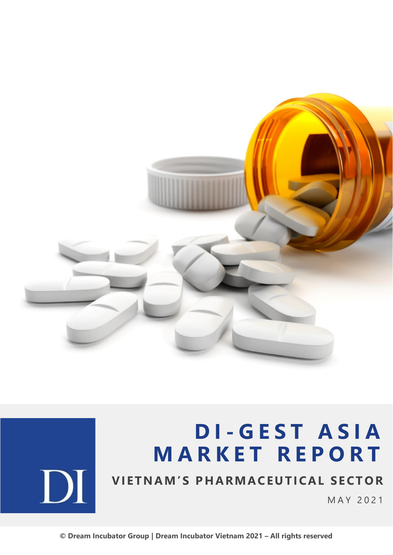

# **D I - G E S T A S I A M A R K E T R E P O R T**



## **VIETNAM'S PHARMACEUTICAL SECTOR**

M A Y 2 0 2 1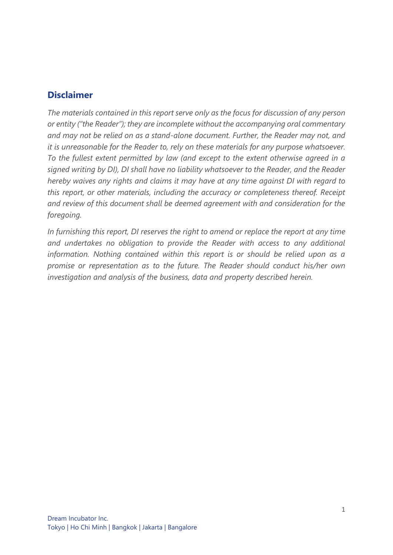## **Disclaimer**

*The materials contained in this report serve only as the focus for discussion of any person or entity ("the Reader"); they are incomplete without the accompanying oral commentary and may not be relied on as a stand-alone document. Further, the Reader may not, and it is unreasonable for the Reader to, rely on these materials for any purpose whatsoever. To the fullest extent permitted by law (and except to the extent otherwise agreed in a signed writing by DI), DI shall have no liability whatsoever to the Reader, and the Reader hereby waives any rights and claims it may have at any time against DI with regard to this report, or other materials, including the accuracy or completeness thereof. Receipt and review of this document shall be deemed agreement with and consideration for the foregoing.*

*In furnishing this report, DI reserves the right to amend or replace the report at any time and undertakes no obligation to provide the Reader with access to any additional information. Nothing contained within this report is or should be relied upon as a promise or representation as to the future. The Reader should conduct his/her own investigation and analysis of the business, data and property described herein.*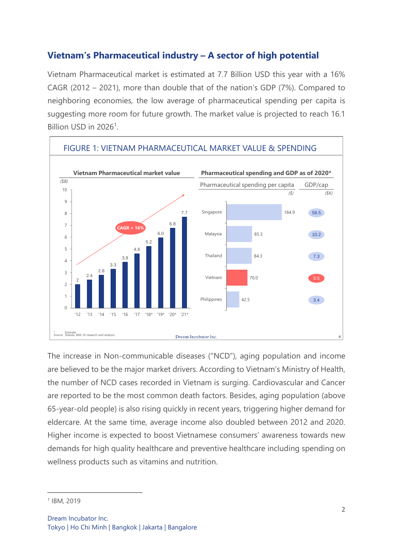## **Vietnam's Pharmaceutical industry – A sector of high potential**

Vietnam Pharmaceutical market is estimated at 7.7 Billion USD this year with a 16% CAGR (2012 – 2021), more than double that of the nation's GDP (7%). Compared to neighboring economies, the low average of pharmaceutical spending per capita is suggesting more room for future growth. The market value is projected to reach 16.1 Billion USD in 2026<sup>1</sup>.



The increase in Non-communicable diseases ("NCD"), aging population and income are believed to be the major market drivers. According to Vietnam's Ministry of Health, the number of NCD cases recorded in Vietnam is surging. Cardiovascular and Cancer are reported to be the most common death factors. Besides, aging population (above 65-year-old people) is also rising quickly in recent years, triggering higher demand for eldercare. At the same time, average income also doubled between 2012 and 2020. Higher income is expected to boost Vietnamese consumers' awareness towards new demands for high quality healthcare and preventive healthcare including spending on wellness products such as vitamins and nutrition.

<sup>1</sup> IBM, 2019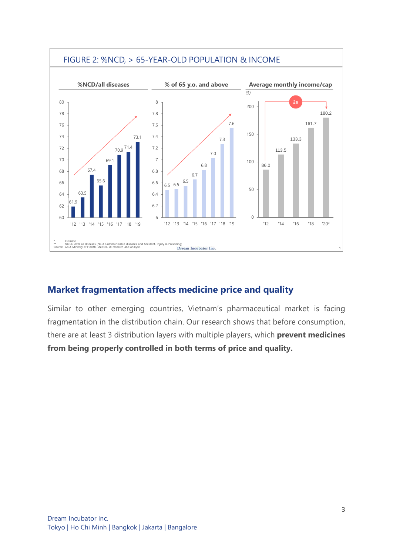

## **Market fragmentation affects medicine price and quality**

Similar to other emerging countries, Vietnam's pharmaceutical market is facing fragmentation in the distribution chain. Our research shows that before consumption, there are at least 3 distribution layers with multiple players, which **prevent medicines from being properly controlled in both terms of price and quality.**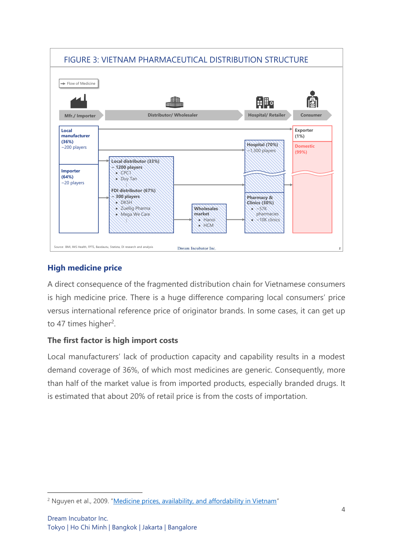

## **High medicine price**

A direct consequence of the fragmented distribution chain for Vietnamese consumers is high medicine price. There is a huge difference comparing local consumers' price versus international reference price of originator brands. In some cases, it can get up to 47 times higher<sup>2</sup>.

## **The first factor is high import costs**

Local manufacturers' lack of production capacity and capability results in a modest demand coverage of 36%, of which most medicines are generic. Consequently, more than half of the market value is from imported products, especially branded drugs. It is estimated that about 20% of retail price is from the costs of importation.

<sup>&</sup>lt;sup>2</sup> Nguyen et al., 2009. "[Medicine prices, availability, and affordability in Vietnam](https://citeseerx.ist.psu.edu/viewdoc/download?doi=10.1.1.561.9740&rep=rep1&type=pdf)"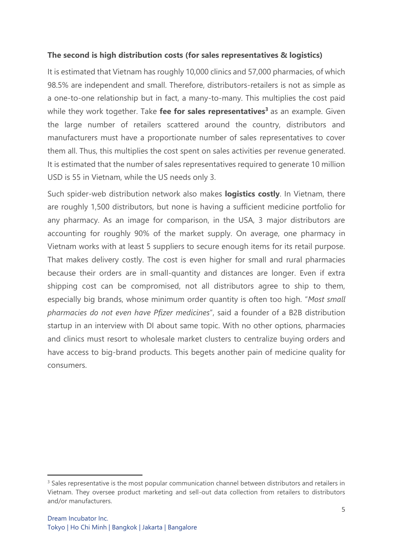#### **The second is high distribution costs (for sales representatives & logistics)**

It is estimated that Vietnam has roughly 10,000 clinics and 57,000 pharmacies, of which 98.5% are independent and small. Therefore, distributors-retailers is not as simple as a one-to-one relationship but in fact, a many-to-many. This multiplies the cost paid while they work together. Take **fee for sales representatives<sup>3</sup>** as an example. Given the large number of retailers scattered around the country, distributors and manufacturers must have a proportionate number of sales representatives to cover them all. Thus, this multiplies the cost spent on sales activities per revenue generated. It is estimated that the number of sales representatives required to generate 10 million USD is 55 in Vietnam, while the US needs only 3.

Such spider-web distribution network also makes **logistics costly**. In Vietnam, there are roughly 1,500 distributors, but none is having a sufficient medicine portfolio for any pharmacy. As an image for comparison, in the USA, 3 major distributors are accounting for roughly 90% of the market supply. On average, one pharmacy in Vietnam works with at least 5 suppliers to secure enough items for its retail purpose. That makes delivery costly. The cost is even higher for small and rural pharmacies because their orders are in small-quantity and distances are longer. Even if extra shipping cost can be compromised, not all distributors agree to ship to them, especially big brands, whose minimum order quantity is often too high. "*Most small pharmacies do not even have Pfizer medicines*", said a founder of a B2B distribution startup in an interview with DI about same topic. With no other options, pharmacies and clinics must resort to wholesale market clusters to centralize buying orders and have access to big-brand products. This begets another pain of medicine quality for consumers.

<sup>&</sup>lt;sup>3</sup> Sales representative is the most popular communication channel between distributors and retailers in Vietnam. They oversee product marketing and sell-out data collection from retailers to distributors and/or manufacturers.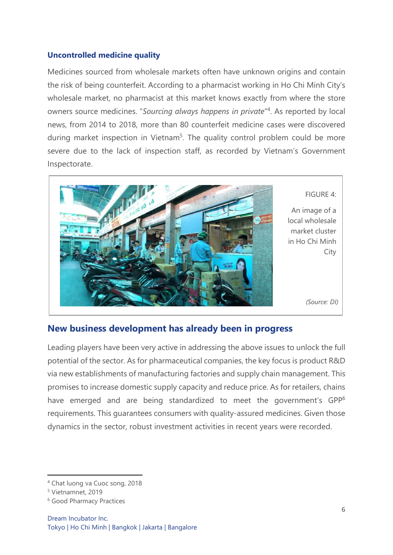#### **Uncontrolled medicine quality**

Medicines sourced from wholesale markets often have unknown origins and contain the risk of being counterfeit. According to a pharmacist working in Ho Chi Minh City's wholesale market, no pharmacist at this market knows exactly from where the store owners source medicines. "*Sourcing always happens in private*" 4 . As reported by local news, from 2014 to 2018, more than 80 counterfeit medicine cases were discovered during market inspection in Vietnam<sup>5</sup>. The quality control problem could be more severe due to the lack of inspection staff, as recorded by Vietnam's Government Inspectorate.



#### FIGURE 4:

An image of a local wholesale market cluster in Ho Chi Minh **City** 

*(Source: DI)*

### **New business development has already been in progress**

Leading players have been very active in addressing the above issues to unlock the full potential of the sector. As for pharmaceutical companies, the key focus is product R&D via new establishments of manufacturing factories and supply chain management. This promises to increase domestic supply capacity and reduce price. As for retailers, chains have emerged and are being standardized to meet the government's GPP<sup>6</sup> requirements. This guarantees consumers with quality-assured medicines. Given those dynamics in the sector, robust investment activities in recent years were recorded.

<sup>4</sup> Chat luong va Cuoc song, 2018

<sup>5</sup> Vietnamnet, 2019

<sup>6</sup> Good Pharmacy Practices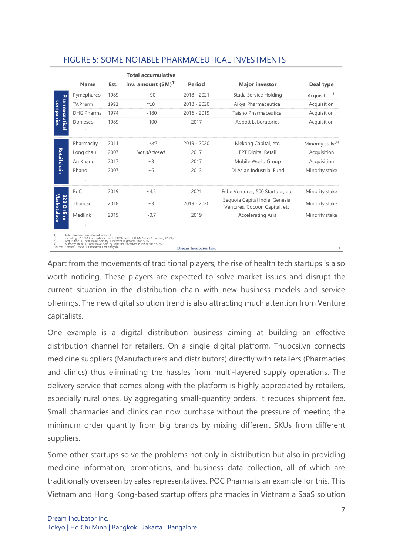|                                                   | <b>Name</b>                                                                                                                                               | Est. | <b>Total accumulative</b><br>inv. amount $(SM)^{1}$                                                                                                          | <b>Period</b> | <b>Major investor</b>                                            | Deal type                    |
|---------------------------------------------------|-----------------------------------------------------------------------------------------------------------------------------------------------------------|------|--------------------------------------------------------------------------------------------------------------------------------------------------------------|---------------|------------------------------------------------------------------|------------------------------|
| Pharmaceutical<br>companies                       | Pymepharco                                                                                                                                                | 1989 | ~100                                                                                                                                                         | $2018 - 2021$ | Stada Service Holding                                            | Acquisition <sup>3)</sup>    |
|                                                   | TV.Pharm                                                                                                                                                  | 1992 | ~10                                                                                                                                                          | $2018 - 2020$ | Aikya Pharmaceutical                                             | Acquisition                  |
|                                                   | <b>DHG Pharma</b>                                                                                                                                         | 1974 | ~180                                                                                                                                                         | $2016 - 2019$ | Taisho Pharmaceutical                                            | Acquisition                  |
|                                                   | Domesco                                                                                                                                                   | 1989 | ~100                                                                                                                                                         | 2017          | Abbott Laboratories                                              | Acquisition                  |
|                                                   |                                                                                                                                                           |      |                                                                                                                                                              |               |                                                                  |                              |
|                                                   | Pharmacity                                                                                                                                                | 2011 | $~238^{2}$                                                                                                                                                   | 2019 - 2020   | Mekong Capital, etc.                                             | Minority stake <sup>4)</sup> |
|                                                   | Long chau                                                                                                                                                 | 2007 | Not disclosed                                                                                                                                                | 2017          | <b>FPT Digital Retail</b>                                        | Acquisition                  |
| Retail chain                                      | An Khang                                                                                                                                                  | 2017 | $\sim$ 3                                                                                                                                                     | 2017          | Mobile World Group                                               | Acquisition                  |
|                                                   | Phano                                                                                                                                                     | 2007 | ~100                                                                                                                                                         | 2013          | DI Asian Industrial Fund                                         | Minority stake               |
|                                                   | $\vdots$                                                                                                                                                  |      |                                                                                                                                                              |               |                                                                  |                              |
| <b>Marketplace</b><br>82B                         | PoC                                                                                                                                                       | 2019 | ~1.5                                                                                                                                                         | 2021          | Febe Ventures, 500 Startups, etc.                                | Minority stake               |
|                                                   | Thuocsi                                                                                                                                                   | 2018 | $\sim$ 3                                                                                                                                                     | $2019 - 2020$ | Seguoia Capital India, Genesia<br>Ventures, Cocoon Capital, etc. | Minority stake               |
| Online                                            | Medlink                                                                                                                                                   | 2019 | ~10.7                                                                                                                                                        | 2019          | Accelerating Asia                                                | Minority stake               |
| 1)<br>$\begin{pmatrix} 2 \\ 3 \\ 4 \end{pmatrix}$ | Total disclosed investment amount<br>Acquisition = Total stake held by 1 investor is greater than 50%<br>Source: Speeda, Tracxn, DI research and analysis |      | Including ~\$6.5M Conventional debt (2019) and ~\$31.6M Series C Funding (2020)<br>Minority stake = Total stake held by separate investors is lower than 50% |               |                                                                  |                              |

## FIGURE 5: SOME NOTABLE PHARMACEUTICAL INVESTMENTS

Apart from the movements of traditional players, the rise of health tech startups is also worth noticing. These players are expected to solve market issues and disrupt the current situation in the distribution chain with new business models and service offerings. The new digital solution trend is also attracting much attention from Venture capitalists.

One example is a digital distribution business aiming at building an effective distribution channel for retailers. On a single digital platform, Thuocsi.vn connects medicine suppliers (Manufacturers and distributors) directly with retailers (Pharmacies and clinics) thus eliminating the hassles from multi-layered supply operations. The delivery service that comes along with the platform is highly appreciated by retailers, especially rural ones. By aggregating small-quantity orders, it reduces shipment fee. Small pharmacies and clinics can now purchase without the pressure of meeting the minimum order quantity from big brands by mixing different SKUs from different suppliers.

Some other startups solve the problems not only in distribution but also in providing medicine information, promotions, and business data collection, all of which are traditionally overseen by sales representatives. POC Pharma is an example for this. This Vietnam and Hong Kong-based startup offers pharmacies in Vietnam a SaaS solution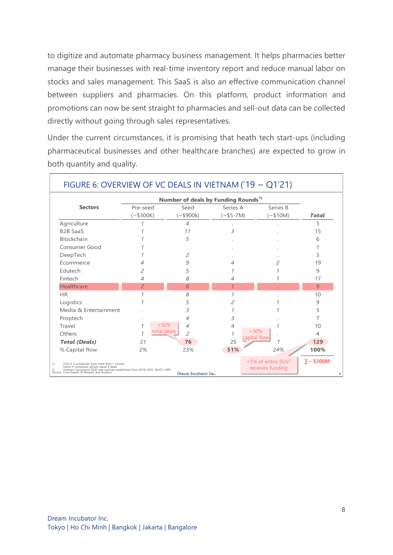to digitize and automate pharmacy business management. It helps pharmacies better manage their businesses with real-time inventory report and reduce manual labor on stocks and sales management. This SaaS is also an effective communication channel between suppliers and pharmacies. On this platform, product information and promotions can now be sent straight to pharmacies and sell-out data can be collected directly without going through sales representatives.

Under the current circumstances, it is promising that heath tech start-ups (including pharmaceutical businesses and other healthcare branches) are expected to grow in both quantity and quality.

|                                                                                                                                                                                                                              | Number of deals by Funding Rounds <sup>1)</sup> |                                                        |                        |                       |              |  |  |  |
|------------------------------------------------------------------------------------------------------------------------------------------------------------------------------------------------------------------------------|-------------------------------------------------|--------------------------------------------------------|------------------------|-----------------------|--------------|--|--|--|
| <b>Sectors</b>                                                                                                                                                                                                               | Pre-seed<br>$(*$300K)$                          | Seed<br>$(*$900k)$                                     | Series A<br>$(*55-7M)$ | Series B<br>$(*$10M)$ | <b>Total</b> |  |  |  |
| Agriculture                                                                                                                                                                                                                  |                                                 | 4                                                      |                        |                       | 5            |  |  |  |
| <b>B2B SaaS</b>                                                                                                                                                                                                              |                                                 | 71                                                     | 3                      |                       | 15           |  |  |  |
| Blockchain                                                                                                                                                                                                                   |                                                 | 5                                                      |                        |                       | 6            |  |  |  |
| Consumer Good                                                                                                                                                                                                                |                                                 |                                                        |                        |                       |              |  |  |  |
| DeepTech                                                                                                                                                                                                                     |                                                 | $\overline{a}$                                         |                        |                       | 3            |  |  |  |
| Ecommerce                                                                                                                                                                                                                    |                                                 | 9                                                      | 4                      | 2                     | 19           |  |  |  |
| Edutech                                                                                                                                                                                                                      | 2                                               | 5                                                      |                        |                       | 9            |  |  |  |
| Fintech                                                                                                                                                                                                                      | 4                                               | 8                                                      | 4                      |                       | 17           |  |  |  |
| Healthcare                                                                                                                                                                                                                   | $\overline{a}$                                  | 6                                                      |                        |                       | 9            |  |  |  |
| <b>HR</b>                                                                                                                                                                                                                    | 1                                               | 8                                                      | $\mathcal I$           |                       | 10           |  |  |  |
| Logistics                                                                                                                                                                                                                    | 1                                               | 5                                                      | 2                      |                       | 9            |  |  |  |
| Media & Entertainment                                                                                                                                                                                                        |                                                 | 3                                                      |                        |                       | 5            |  |  |  |
| Proptech                                                                                                                                                                                                                     |                                                 | 4                                                      | 3                      |                       | 7            |  |  |  |
| Travel                                                                                                                                                                                                                       | > 50%<br>1                                      | 4                                                      | 4                      |                       | 10           |  |  |  |
| Others                                                                                                                                                                                                                       | total deals                                     | $\overline{2}$                                         | > 50%<br>capital flow  |                       | 4            |  |  |  |
| <b>Total (Deals)</b>                                                                                                                                                                                                         | 21                                              | 76                                                     | 25                     | 7                     | 129          |  |  |  |
| % Capital flow                                                                                                                                                                                                               | 2%                                              | 23%                                                    | 51%                    | 24%                   | 100%         |  |  |  |
| Only 4-5 companies have more than 1 rounds,<br>1)<br>hence # companies almost equal # deals<br>2) Vietnam has around 3000 new startups established from 2018-2020, MoST x MPI<br>Source: Crunchbase, DI Researh and Analysis | Dream Incubator Inc.                            | $<$ 5% of entire SUs <sup>2)</sup><br>receives funding | $\Sigma$ $\sim$ \$300M |                       |              |  |  |  |